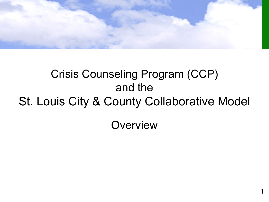

# Crisis Counseling Program (CCP) and the St. Louis City & County Collaborative Model

**Overview**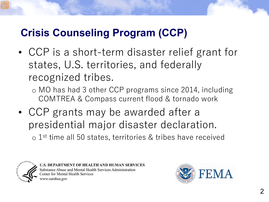# **Crisis Counseling Program (CCP)**

• CCP is a short-term disaster relief grant for states, U.S. territories, and federally recognized tribes.

o MO has had 3 other CCP programs since 2014, including COMTREA & Compass current flood & tornado work

• CCP grants may be awarded after a presidential major disaster declaration. o 1st time all 50 states, territories & tribes have received



'MENT OF HEALTH AND HUMAN SERVICES Substance Abuse and Mental Health Services Administration enter for Mental Health Services vww.samhsa.gov

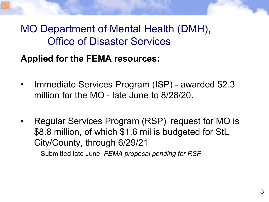# MO Department of Mental Health (DMH), Office of Disaster Services

#### **Applied for the FEMA resources:**

- Immediate Services Program (ISP) awarded \$2.3 million for the MO - late June to 8/28/20.
- Regular Services Program (RSP): request for MO is \$8.8 million, of which \$1.6 mil is budgeted for StL City/County, through 6/29/21

Submitted late June; *FEMA proposal pending for RSP.*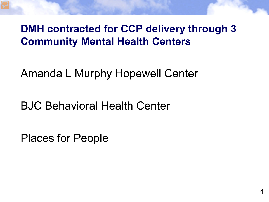# **DMH contracted for CCP delivery through 3 Community Mental Health Centers**

Amanda L Murphy Hopewell Center

BJC Behavioral Health Center

Places for People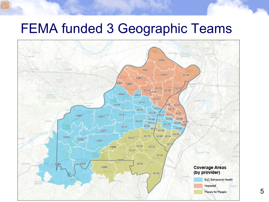# FEMA funded 3 Geographic Teams

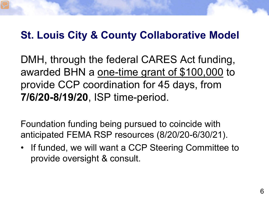# **St. Louis City & County Collaborative Model**

DMH, through the federal CARES Act funding, awarded BHN a one-time grant of \$100,000 to provide CCP coordination for 45 days, from **7/6/20-8/19/20**, ISP time-period.

Foundation funding being pursued to coincide with anticipated FEMA RSP resources (8/20/20-6/30/21).

• If funded, we will want a CCP Steering Committee to provide oversight & consult.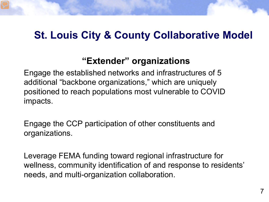#### **St. Louis City & County Collaborative Model**

#### **"Extender" organizations**

Engage the established networks and infrastructures of 5 additional "backbone organizations," which are uniquely positioned to reach populations most vulnerable to COVID impacts.

Engage the CCP participation of other constituents and organizations.

Leverage FEMA funding toward regional infrastructure for wellness, community identification of and response to residents' needs, and multi-organization collaboration.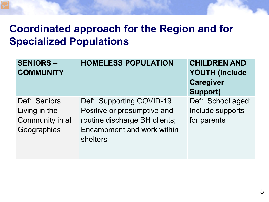# **Coordinated approach for the Region and for Specialized Populations**

| <b>SENIORS -</b><br><b>COMMUNITY</b>                             | <b>HOMELESS POPULATION</b>                                                                                                         | <b>CHILDREN AND</b><br><b>YOUTH (Include</b><br><b>Caregiver</b><br><b>Support)</b> |
|------------------------------------------------------------------|------------------------------------------------------------------------------------------------------------------------------------|-------------------------------------------------------------------------------------|
| Def: Seniors<br>Living in the<br>Community in all<br>Geographies | Def: Supporting COVID-19<br>Positive or presumptive and<br>routine discharge BH clients;<br>Encampment and work within<br>shelters | Def: School aged;<br>Include supports<br>for parents                                |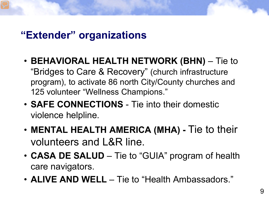#### **"Extender" organizations**

- **BEHAVIORAL HEALTH NETWORK (BHN)** Tie to "Bridges to Care & Recovery" (church infrastructure program), to activate 86 north City/County churches and 125 volunteer "Wellness Champions."
- **SAFE CONNECTIONS** Tie into their domestic violence helpline.
- **MENTAL HEALTH AMERICA (MHA) -** Tie to their volunteers and L&R line.
- **CASA DE SALUD** Tie to "GUIA" program of health care navigators.
- **ALIVE AND WELL** Tie to "Health Ambassadors."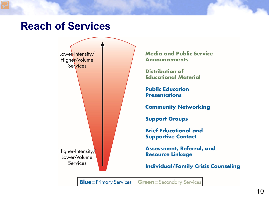#### **Reach of Services**



**Blue** = Primary Services **Green** = Secondary Services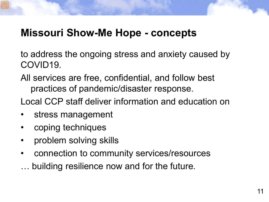#### **Missouri Show-Me Hope - concepts**

to address the ongoing stress and anxiety caused by COVID19.

All services are free, confidential, and follow best practices of pandemic/disaster response.

Local CCP staff deliver information and education on

- stress management
- coping techniques
- problem solving skills
- connection to community services/resources
- … building resilience now and for the future.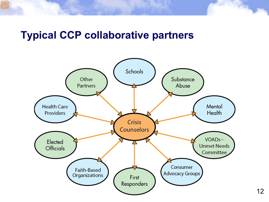#### **Typical CCP collaborative partners**

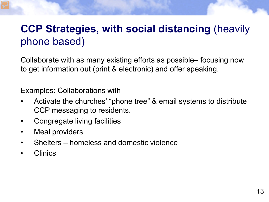# **CCP Strategies, with social distancing** (heavily phone based)

Collaborate with as many existing efforts as possible– focusing now to get information out (print & electronic) and offer speaking.

Examples: Collaborations with

- Activate the churches' "phone tree" & email systems to distribute CCP messaging to residents.
- Congregate living facilities
- Meal providers
- Shelters homeless and domestic violence
- Clinics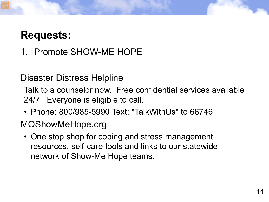# **Requests:**

1. Promote SHOW-ME HOPE

#### Disaster Distress Helpline

Talk to a counselor now. Free confidential services available 24/7. Everyone is eligible to call.

• Phone: 800/985-5990 Text: "TalkWithUs" to 66746

#### MOShowMeHope.org

• One stop shop for coping and stress management resources, self-care tools and links to our statewide network of Show-Me Hope teams.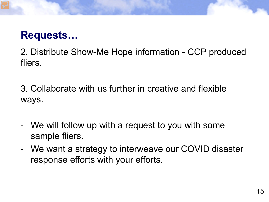# **Requests…**

2. Distribute Show-Me Hope information - CCP produced fliers.

3. Collaborate with us further in creative and flexible ways.

- We will follow up with a request to you with some sample fliers.
- We want a strategy to interweave our COVID disaster response efforts with your efforts.